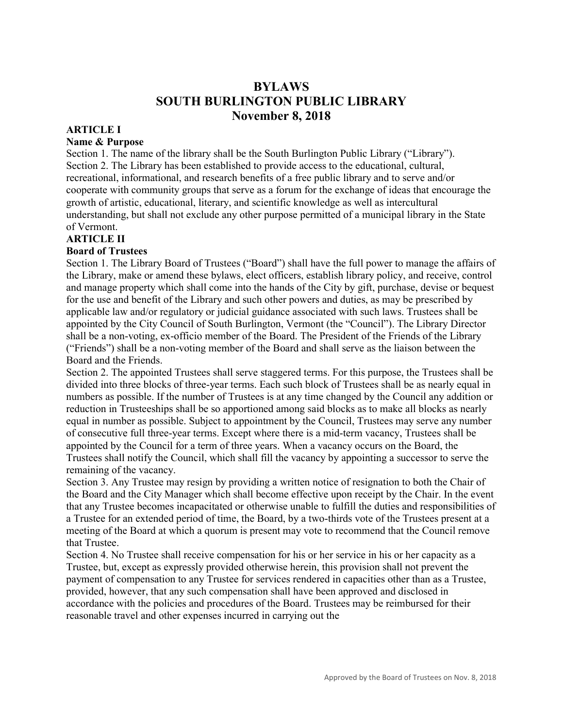# **BYLAWS SOUTH BURLINGTON PUBLIC LIBRARY November 8, 2018**

#### **ARTICLE I**

#### **Name & Purpose**

Section 1. The name of the library shall be the South Burlington Public Library ("Library"). Section 2. The Library has been established to provide access to the educational, cultural, recreational, informational, and research benefits of a free public library and to serve and/or cooperate with community groups that serve as a forum for the exchange of ideas that encourage the growth of artistic, educational, literary, and scientific knowledge as well as intercultural understanding, but shall not exclude any other purpose permitted of a municipal library in the State of Vermont.

#### **ARTICLE II**

#### **Board of Trustees**

Section 1. The Library Board of Trustees ("Board") shall have the full power to manage the affairs of the Library, make or amend these bylaws, elect officers, establish library policy, and receive, control and manage property which shall come into the hands of the City by gift, purchase, devise or bequest for the use and benefit of the Library and such other powers and duties, as may be prescribed by applicable law and/or regulatory or judicial guidance associated with such laws. Trustees shall be appointed by the City Council of South Burlington, Vermont (the "Council"). The Library Director shall be a non-voting, ex-officio member of the Board. The President of the Friends of the Library ("Friends") shall be a non-voting member of the Board and shall serve as the liaison between the Board and the Friends.

Section 2. The appointed Trustees shall serve staggered terms. For this purpose, the Trustees shall be divided into three blocks of three-year terms. Each such block of Trustees shall be as nearly equal in numbers as possible. If the number of Trustees is at any time changed by the Council any addition or reduction in Trusteeships shall be so apportioned among said blocks as to make all blocks as nearly equal in number as possible. Subject to appointment by the Council, Trustees may serve any number of consecutive full three-year terms. Except where there is a mid-term vacancy, Trustees shall be appointed by the Council for a term of three years. When a vacancy occurs on the Board, the Trustees shall notify the Council, which shall fill the vacancy by appointing a successor to serve the remaining of the vacancy.

Section 3. Any Trustee may resign by providing a written notice of resignation to both the Chair of the Board and the City Manager which shall become effective upon receipt by the Chair. In the event that any Trustee becomes incapacitated or otherwise unable to fulfill the duties and responsibilities of a Trustee for an extended period of time, the Board, by a two-thirds vote of the Trustees present at a meeting of the Board at which a quorum is present may vote to recommend that the Council remove that Trustee.

Section 4. No Trustee shall receive compensation for his or her service in his or her capacity as a Trustee, but, except as expressly provided otherwise herein, this provision shall not prevent the payment of compensation to any Trustee for services rendered in capacities other than as a Trustee, provided, however, that any such compensation shall have been approved and disclosed in accordance with the policies and procedures of the Board. Trustees may be reimbursed for their reasonable travel and other expenses incurred in carrying out the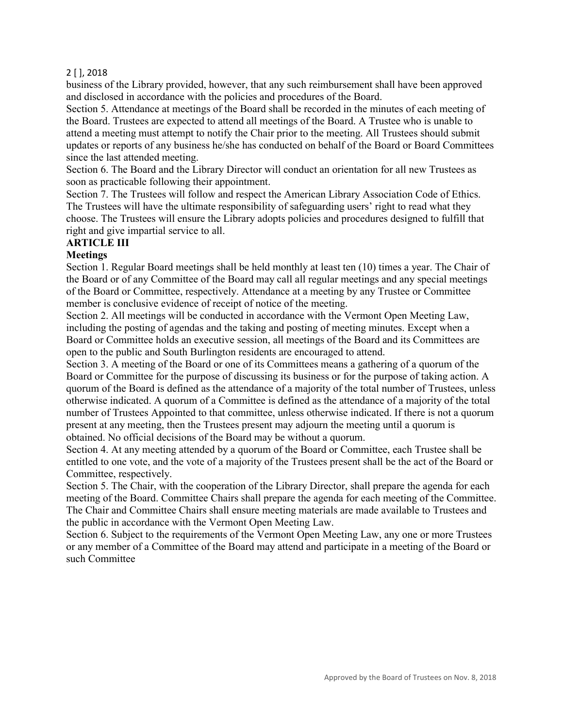business of the Library provided, however, that any such reimbursement shall have been approved and disclosed in accordance with the policies and procedures of the Board.

Section 5. Attendance at meetings of the Board shall be recorded in the minutes of each meeting of the Board. Trustees are expected to attend all meetings of the Board. A Trustee who is unable to attend a meeting must attempt to notify the Chair prior to the meeting. All Trustees should submit updates or reports of any business he/she has conducted on behalf of the Board or Board Committees since the last attended meeting.

Section 6. The Board and the Library Director will conduct an orientation for all new Trustees as soon as practicable following their appointment.

Section 7. The Trustees will follow and respect the American Library Association Code of Ethics. The Trustees will have the ultimate responsibility of safeguarding users' right to read what they choose. The Trustees will ensure the Library adopts policies and procedures designed to fulfill that right and give impartial service to all.

# **ARTICLE III**

#### **Meetings**

Section 1. Regular Board meetings shall be held monthly at least ten (10) times a year. The Chair of the Board or of any Committee of the Board may call all regular meetings and any special meetings of the Board or Committee, respectively. Attendance at a meeting by any Trustee or Committee member is conclusive evidence of receipt of notice of the meeting.

Section 2. All meetings will be conducted in accordance with the Vermont Open Meeting Law, including the posting of agendas and the taking and posting of meeting minutes. Except when a Board or Committee holds an executive session, all meetings of the Board and its Committees are open to the public and South Burlington residents are encouraged to attend.

Section 3. A meeting of the Board or one of its Committees means a gathering of a quorum of the Board or Committee for the purpose of discussing its business or for the purpose of taking action. A quorum of the Board is defined as the attendance of a majority of the total number of Trustees, unless otherwise indicated. A quorum of a Committee is defined as the attendance of a majority of the total number of Trustees Appointed to that committee, unless otherwise indicated. If there is not a quorum present at any meeting, then the Trustees present may adjourn the meeting until a quorum is obtained. No official decisions of the Board may be without a quorum.

Section 4. At any meeting attended by a quorum of the Board or Committee, each Trustee shall be entitled to one vote, and the vote of a majority of the Trustees present shall be the act of the Board or Committee, respectively.

Section 5. The Chair, with the cooperation of the Library Director, shall prepare the agenda for each meeting of the Board. Committee Chairs shall prepare the agenda for each meeting of the Committee. The Chair and Committee Chairs shall ensure meeting materials are made available to Trustees and the public in accordance with the Vermont Open Meeting Law.

Section 6. Subject to the requirements of the Vermont Open Meeting Law, any one or more Trustees or any member of a Committee of the Board may attend and participate in a meeting of the Board or such Committee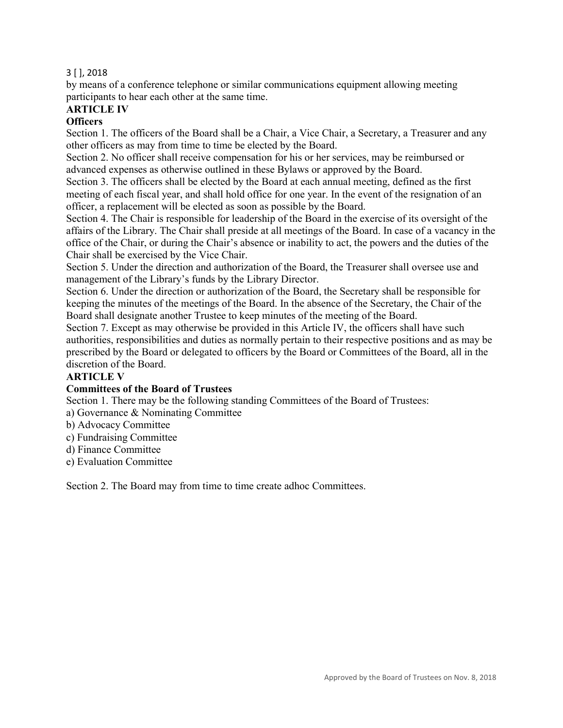by means of a conference telephone or similar communications equipment allowing meeting participants to hear each other at the same time.

# **ARTICLE IV**

### **Officers**

Section 1. The officers of the Board shall be a Chair, a Vice Chair, a Secretary, a Treasurer and any other officers as may from time to time be elected by the Board.

Section 2. No officer shall receive compensation for his or her services, may be reimbursed or advanced expenses as otherwise outlined in these Bylaws or approved by the Board.

Section 3. The officers shall be elected by the Board at each annual meeting, defined as the first meeting of each fiscal year, and shall hold office for one year. In the event of the resignation of an officer, a replacement will be elected as soon as possible by the Board.

Section 4. The Chair is responsible for leadership of the Board in the exercise of its oversight of the affairs of the Library. The Chair shall preside at all meetings of the Board. In case of a vacancy in the office of the Chair, or during the Chair's absence or inability to act, the powers and the duties of the Chair shall be exercised by the Vice Chair.

Section 5. Under the direction and authorization of the Board, the Treasurer shall oversee use and management of the Library's funds by the Library Director.

Section 6. Under the direction or authorization of the Board, the Secretary shall be responsible for keeping the minutes of the meetings of the Board. In the absence of the Secretary, the Chair of the Board shall designate another Trustee to keep minutes of the meeting of the Board.

Section 7. Except as may otherwise be provided in this Article IV, the officers shall have such authorities, responsibilities and duties as normally pertain to their respective positions and as may be prescribed by the Board or delegated to officers by the Board or Committees of the Board, all in the discretion of the Board.

#### **ARTICLE V**

#### **Committees of the Board of Trustees**

Section 1. There may be the following standing Committees of the Board of Trustees:

- a) Governance & Nominating Committee
- b) Advocacy Committee
- c) Fundraising Committee
- d) Finance Committee
- e) Evaluation Committee

Section 2. The Board may from time to time create adhoc Committees.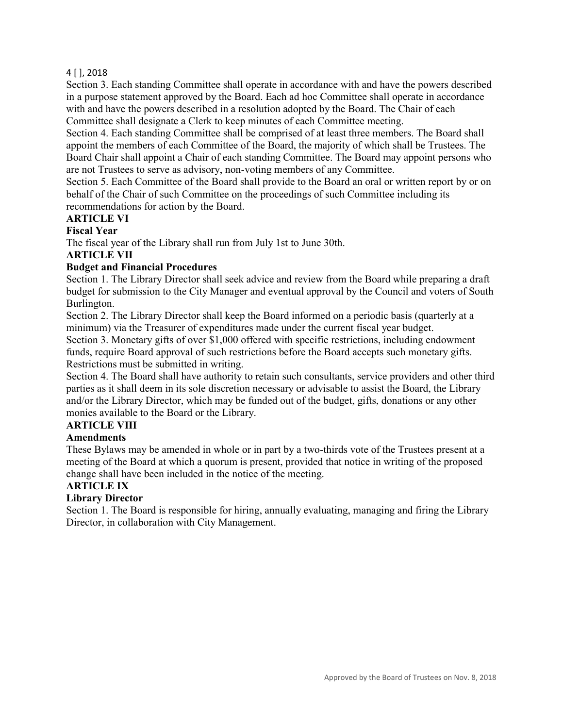Section 3. Each standing Committee shall operate in accordance with and have the powers described in a purpose statement approved by the Board. Each ad hoc Committee shall operate in accordance with and have the powers described in a resolution adopted by the Board. The Chair of each Committee shall designate a Clerk to keep minutes of each Committee meeting.

Section 4. Each standing Committee shall be comprised of at least three members. The Board shall appoint the members of each Committee of the Board, the majority of which shall be Trustees. The Board Chair shall appoint a Chair of each standing Committee. The Board may appoint persons who are not Trustees to serve as advisory, non-voting members of any Committee.

Section 5. Each Committee of the Board shall provide to the Board an oral or written report by or on behalf of the Chair of such Committee on the proceedings of such Committee including its recommendations for action by the Board.

#### **ARTICLE VI**

#### **Fiscal Year**

The fiscal year of the Library shall run from July 1st to June 30th.

#### **ARTICLE VII**

#### **Budget and Financial Procedures**

Section 1. The Library Director shall seek advice and review from the Board while preparing a draft budget for submission to the City Manager and eventual approval by the Council and voters of South Burlington.

Section 2. The Library Director shall keep the Board informed on a periodic basis (quarterly at a minimum) via the Treasurer of expenditures made under the current fiscal year budget.

Section 3. Monetary gifts of over \$1,000 offered with specific restrictions, including endowment funds, require Board approval of such restrictions before the Board accepts such monetary gifts. Restrictions must be submitted in writing.

Section 4. The Board shall have authority to retain such consultants, service providers and other third parties as it shall deem in its sole discretion necessary or advisable to assist the Board, the Library and/or the Library Director, which may be funded out of the budget, gifts, donations or any other monies available to the Board or the Library.

# **ARTICLE VIII**

#### **Amendments**

These Bylaws may be amended in whole or in part by a two-thirds vote of the Trustees present at a meeting of the Board at which a quorum is present, provided that notice in writing of the proposed change shall have been included in the notice of the meeting.

#### **ARTICLE IX**

#### **Library Director**

Section 1. The Board is responsible for hiring, annually evaluating, managing and firing the Library Director, in collaboration with City Management.